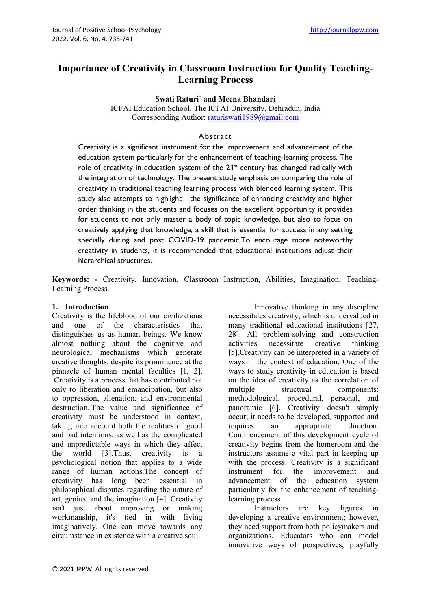# **Importance of Creativity in Classroom Instruction for Quality Teaching-Learning Process**

**Swati Raturi\* and Meena Bhandari**

ICFAI Education School, The ICFAI University, Dehradun, India Corresponding Author: [raturiswati1989@gmail.com](mailto:raturiswati1989@gmail.com)

### Abstract

Creativity is a significant instrument for the improvement and advancement of the education system particularly for the enhancement of teaching-learning process. The role of creativity in education system of the  $21<sup>st</sup>$  century has changed radically with the integration of technology. The present study emphasis on comparing the role of creativity in traditional teaching learning process with blended learning system. This study also attempts to highlight the significance of enhancing creativity and higher order thinking in the students and focuses on the excellent opportunity it provides for students to not only master a body of topic knowledge, but also to focus on creatively applying that knowledge, a skill that is essential for success in any setting specially during and post COVID-19 pandemic.To encourage more noteworthy creativity in students, it is recommended that educational institutions adjust their hierarchical structures.

**Keywords: -** Creativity, Innovation, Classroom Instruction, Abilities, Imagination, Teaching-Learning Process.

## **1. Introduction**

Creativity is the lifeblood of our civilizations and one of the characteristics that distinguishes us as human beings. We know almost nothing about the cognitive and neurological mechanisms which generate creative thoughts, despite its prominence at the pinnacle of human mental faculties [1, 2]. Creativity is a process that has contributed not only to liberation and emancipation, but also to oppression, alienation, and environmental destruction. The value and significance of creativity must be understood in context, taking into account both the realities of good and bad intentions, as well as the complicated and unpredictable ways in which they affect the world [3].Thus, creativity is a psychological notion that applies to a wide range of human actions.The concept of creativity has long been essential in philosophical disputes regarding the nature of art, genius, and the imagination [4]. Creativity isn't just about improving or making workmanship, it's tied in with living imaginatively. One can move towards any circumstance in existence with a creative soul.

Innovative thinking in any discipline necessitates creativity, which is undervalued in many traditional educational institutions [27, 28]. All problem-solving and construction activities necessitate creative thinking [5].Creativity can be interpreted in a variety of ways in the context of education. One of the ways to study creativity in education is based on the idea of creativity as the correlation of multiple structural components: methodological, procedural, personal, and panoramic [6]. Creativity doesn't simply occur; it needs to be developed, supported and requires an appropriate direction. Commencement of this development cycle of creativity begins from the homeroom and the instructors assume a vital part in keeping up with the process. Creativity is a significant instrument for the improvement and advancement of the education system particularly for the enhancement of teachinglearning process

Instructors are key figures in developing a creative environment; however, they need support from both policymakers and organizations. Educators who can model innovative ways of perspectives, playfully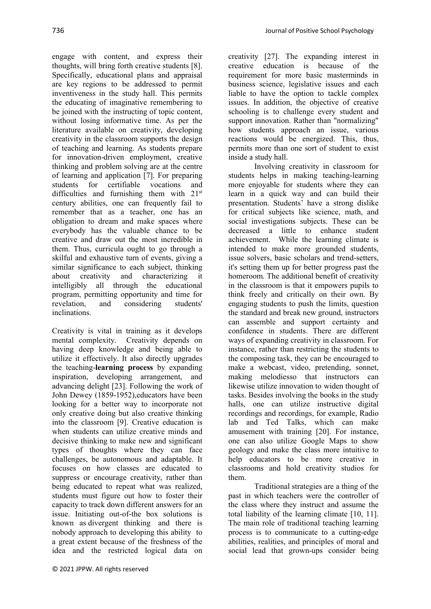engage with content, and express their thoughts, will bring forth creative students [8]. Specifically, educational plans and appraisal are key regions to be addressed to permit inventiveness in the study hall. This permits the educating of imaginative remembering to be joined with the instructing of topic content, without losing informative time. As per the literature available on creativity, developing creativity in the classroom supports the design of teaching and learning. As students prepare for innovation-driven employment, creative thinking and problem solving are at the centre of learning and application [7]. For preparing students for certifiable vocations and difficulties and furnishing them with 21<sup>st</sup> century abilities, one can frequently fail to remember that as a teacher, one has an obligation to dream and make spaces where everybody has the valuable chance to be creative and draw out the most incredible in them. Thus, curricula ought to go through a skilful and exhaustive turn of events, giving a similar significance to each subject, thinking about creativity and characterizing it intelligibly all through the educational program, permitting opportunity and time for revelation, and considering students' inclinations.

Creativity is vital in training as it develops mental complexity. Creativity depends on having deep knowledge and being able to utilize it effectively. It also directly upgrades the teaching-**learning process** by expanding inspiration, developing arrangement, and advancing delight [23]. Following the work of John Dewey (1859-1952),educators have been looking for a better way to incorporate not only creative doing but also creative thinking into the classroom [9]. Creative education is when students can utilize creative minds and decisive thinking to make new and significant types of thoughts where they can face challenges, be autonomous and adaptable. It focuses on how classes are educated to suppress or encourage creativity, rather than being educated to repeat what was realized, students must figure out how to foster their capacity to track down different answers for an issue. Initiating out-of-the box solutions is known as [divergent thinking](https://en.wikipedia.org/wiki/Divergent_thinking) and there is nobody approach to developing this ability to a great extent because of the freshness of the idea and the restricted logical data on

creativity [27]. The expanding interest in creative education is because of the requirement for more basic masterminds in business science, legislative issues and each liable to have the option to tackle complex issues. In addition, the objective of creative schooling is to challenge every student and support innovation. Rather than "normalizing" how students approach an issue, various reactions would be energized. This, thus, permits more than one sort of student to exist inside a study hall.

Involving creativity in classroom for students helps in making teaching-learning more enjoyable for students where they can learn in a quick way and can build their presentation. Students' have a strong dislike for critical subjects like science, math, and social investigations subjects. These can be decreased a little to enhance student achievement. While the learning climate is intended to make more grounded students, issue solvers, basic scholars and trend-setters, it's setting them up for better progress past the homeroom. The additional benefit of creativity in the classroom is that it empowers pupils to think freely and critically on their own. By engaging students to push the limits, question the standard and break new ground, instructors can assemble and support certainty and confidence in students. There are different ways of expanding creativity in classroom. For instance, rather than restricting the students to the composing task, they can be encouraged to make a webcast, video, pretending, sonnet, making melodiesso that instructors can likewise utilize innovation to widen thought of tasks. Besides involving the books in the study halls, one can utilize instructive digital recordings and recordings, for example, Radio lab and Ted Talks, which can make amusement with training [20]. For instance, one can also utilize Google Maps to show geology and make the class more intuitive to help educators to be more creative in classrooms and hold creativity studios for them.

Traditional strategies are a thing of the past in which teachers were the controller of the class where they instruct and assume the total liability of the learning climate [10, 11]. The main role of traditional teaching learning process is to communicate to a cutting-edge abilities, realities, and principles of moral and social lead that grown-ups consider being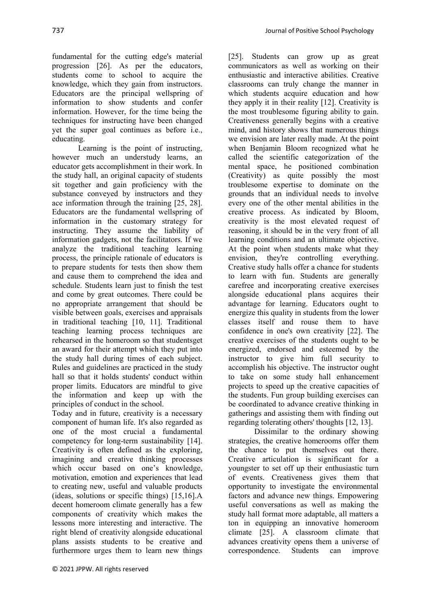737 Journal of Positive School Psychology

fundamental for the cutting edge's material progression [26]. As per the educators, students come to school to acquire the knowledge, which they gain from instructors. Educators are the principal wellspring of information to show students and confer information. However, for the time being the techniques for instructing have been changed yet the super goal continues as before i.e., educating.

Learning is the point of instructing, however much an understudy learns, an educator gets accomplishment in their work. In the study hall, an original capacity of students sit together and gain proficiency with the substance conveyed by instructors and they ace information through the training [25, 28]. Educators are the fundamental wellspring of information in the customary strategy for instructing. They assume the liability of information gadgets, not the facilitators. If we analyze the traditional teaching learning process, the principle rationale of educators is to prepare students for tests then show them and cause them to comprehend the idea and schedule. Students learn just to finish the test and come by great outcomes. There could be no appropriate arrangement that should be visible between goals, exercises and appraisals in traditional teaching [10, 11]. Traditional teaching learning process techniques are rehearsed in the homeroom so that studentsget an award for their attempt which they put into the study hall during times of each subject. Rules and guidelines are practiced in the study hall so that it holds students' conduct within proper limits. Educators are mindful to give the information and keep up with the principles of conduct in the school.

Today and in future, creativity is a necessary component of human life. It's also regarded as one of the most crucial a fundamental competency for long-term sustainability [14]. Creativity is often defined as the exploring, imagining and creative thinking processes which occur based on one's knowledge, motivation, emotion and experiences that lead to creating new, useful and valuable products (ideas, solutions or specific things) [15,16].A decent homeroom climate generally has a few components of creativity which makes the lessons more interesting and interactive. The right blend of creativity alongside educational plans assists students to be creative and furthermore urges them to learn new things [25]. Students can grow up as great communicators as well as working on their enthusiastic and interactive abilities. Creative classrooms can truly change the manner in which students acquire education and how they apply it in their reality [12]. Creativity is the most troublesome figuring ability to gain. Creativeness generally begins with a creative mind, and history shows that numerous things we envision are later really made. At the point when Benjamin Bloom recognized what he called the scientific categorization of the mental space, he positioned combination (Creativity) as quite possibly the most troublesome expertise to dominate on the grounds that an individual needs to involve every one of the other mental abilities in the creative process. As indicated by Bloom, creativity is the most elevated request of reasoning, it should be in the very front of all learning conditions and an ultimate objective. At the point when students make what they envision, they're controlling everything. Creative study halls offer a chance for students to learn with fun. Students are generally carefree and incorporating creative exercises alongside educational plans acquires their advantage for learning. Educators ought to energize this quality in students from the lower classes itself and rouse them to have confidence in one's own creativity [22]. The creative exercises of the students ought to be energized, endorsed and esteemed by the instructor to give him full security to accomplish his objective. The instructor ought to take on some study hall enhancement projects to speed up the creative capacities of the students. Fun group building exercises can be coordinated to advance creative thinking in gatherings and assisting them with finding out regarding tolerating others' thoughts [12, 13].

Dissimilar to the ordinary showing strategies, the creative homerooms offer them the chance to put themselves out there. Creative articulation is significant for a youngster to set off up their enthusiastic turn of events. Creativeness gives them that opportunity to investigate the environmental factors and advance new things. Empowering useful conversations as well as making the study hall format more adaptable, all matters a ton in equipping an innovative homeroom climate [25]. A classroom climate that advances creativity opens them a universe of correspondence. Students can improve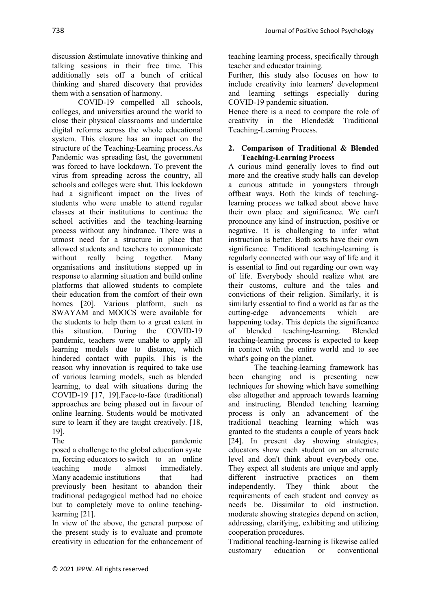discussion &stimulate innovative thinking and talking sessions in their free time. This additionally sets off a bunch of critical thinking and shared discovery that provides them with a sensation of harmony.

COVID-19 compelled all schools, colleges, and universities around the world to close their physical classrooms and undertake digital reforms across the whole educational system. This closure has an impact on the structure of the Teaching-Learning process.As Pandemic was spreading fast, the government was forced to have lockdown. To prevent the virus from spreading across the country, all schools and colleges were shut. This lockdown had a significant impact on the lives of students who were unable to attend regular classes at their institutions to continue the school activities and the teaching-learning process without any hindrance. There was a utmost need for a structure in place that allowed students and teachers to communicate without really being together. Many organisations and institutions stepped up in response to alarming situation and build online platforms that allowed students to complete their education from the comfort of their own homes [20]. Various platform, such as SWAYAM and MOOCS were available for the students to help them to a great extent in this situation. During the COVID-19 pandemic, teachers were unable to apply all learning models due to distance, which hindered contact with pupils. This is the reason why innovation is required to take use of various learning models, such as blended learning, to deal with situations during the COVID-19 [17, 19].Face-to-face (traditional) approaches are being phased out in favour of online learning. Students would be motivated sure to learn if they are taught creatively. [18, 19].

The pandemic pandemic posed a challenge to the global education syste m, forcing educators to switch to an online teaching mode almost immediately. Many academic institutions that had previously been hesitant to abandon their traditional pedagogical method had no choice but to completely move to online teachinglearning [21].

In view of the above, the general purpose of the present study is to evaluate and promote creativity in education for the enhancement of

teaching learning process, specifically through teacher and educator training.

Further, this study also focuses on how to include creativity into learners' development and learning settings especially during COVID-19 pandemic situation.

Hence there is a need to compare the role of creativity in the Blended& Traditional Teaching-Learning Process.

# **2. Comparison of Traditional & Blended Teaching-Learning Process**

A curious mind generally loves to find out more and the creative study halls can develop a curious attitude in youngsters through offbeat ways. Both the kinds of teachinglearning process we talked about above have their own place and significance. We can't pronounce any kind of instruction, positive or negative. It is challenging to infer what instruction is better. Both sorts have their own significance. Traditional teaching-learning is regularly connected with our way of life and it is essential to find out regarding our own way of life. Everybody should realize what are their customs, culture and the tales and convictions of their religion. Similarly, it is similarly essential to find a world as far as the cutting-edge advancements which are happening today. This depicts the significance of blended teaching-learning. Blended teaching-learning process is expected to keep in contact with the entire world and to see what's going on the planet.

The teaching-learning framework has been changing and is presenting new techniques for showing which have something else altogether and approach towards learning and instructing. Blended teaching learning process is only an advancement of the traditional tteaching learning which was granted to the students a couple of years back [24]. In present day showing strategies, educators show each student on an alternate level and don't think about everybody one. They expect all students are unique and apply different instructive practices on them independently. They think about the requirements of each student and convey as needs be. Dissimilar to old instruction, moderate showing strategies depend on action, addressing, clarifying, exhibiting and utilizing cooperation procedures.

Traditional teaching-learning is likewise called customary education or conventional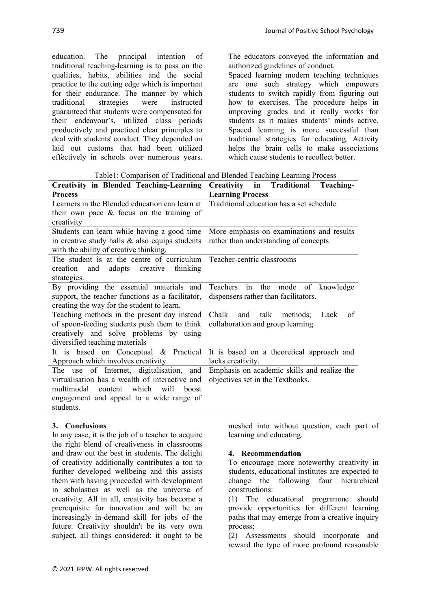education. The principal intention of traditional teaching-learning is to pass on the qualities, habits, abilities and the social practice to the cutting edge which is important for their endurance. The manner by which traditional strategies were instructed guaranteed that students were compensated for their endeavour's, utilized class periods productively and practiced clear principles to deal with students' conduct. They depended on laid out customs that had been utilized effectively in schools over numerous years. The educators conveyed the information and authorized guidelines of conduct.

Spaced learning modern teaching techniques are one such strategy which empowers students to switch rapidly from figuring out how to exercises. The procedure helps in improving grades and it really works for students as it makes students' minds active. Spaced learning is more successful than traditional strategies for educating. Activity helps the brain cells to make associations which cause students to recollect better.

|  | Table1: Comparison of Traditional and Blended Teaching Learning Process |  |  |
|--|-------------------------------------------------------------------------|--|--|
|  |                                                                         |  |  |
|  |                                                                         |  |  |

| Creativity in Blended Teaching-Learning Creativity in Traditional Teaching-          |                                           |  |  |  |
|--------------------------------------------------------------------------------------|-------------------------------------------|--|--|--|
| <b>Process</b>                                                                       | <b>Learning Process</b>                   |  |  |  |
| Learners in the Blended education can learn at                                       | Traditional education has a set schedule. |  |  |  |
| their own pace $\&$ focus on the training of                                         |                                           |  |  |  |
| creativity                                                                           |                                           |  |  |  |
| Students can learn while having a good time                                          | More emphasis on examinations and results |  |  |  |
| in creative study halls $\&$ also equips students                                    | rather than understanding of concepts     |  |  |  |
| with the ability of creative thinking.                                               |                                           |  |  |  |
| The student is at the centre of curriculum Teacher-centric classrooms                |                                           |  |  |  |
| creation and adopts creative thinking                                                |                                           |  |  |  |
| strategies.                                                                          |                                           |  |  |  |
| By providing the essential materials and                                             | Teachers in the mode of knowledge         |  |  |  |
| support, the teacher functions as a facilitator,                                     | dispensers rather than facilitators.      |  |  |  |
| creating the way for the student to learn.                                           |                                           |  |  |  |
| Teaching methods in the present day instead                                          | Chalk and talk methods; Lack of           |  |  |  |
| of spoon-feeding students push them to think                                         | collaboration and group learning          |  |  |  |
| creatively and solve problems by using                                               |                                           |  |  |  |
| diversified teaching materials                                                       |                                           |  |  |  |
| It is based on Conceptual & Practical It is based on a theoretical approach and      |                                           |  |  |  |
| Approach which involves creativity.                                                  | lacks creativity.                         |  |  |  |
| The use of Internet, digitalisation, and Emphasis on academic skills and realize the |                                           |  |  |  |
| virtualisation has a wealth of interactive and                                       | objectives set in the Textbooks.          |  |  |  |
| multimodal content which will boost                                                  |                                           |  |  |  |
| engagement and appeal to a wide range of                                             |                                           |  |  |  |
| students.                                                                            |                                           |  |  |  |

### **3. Conclusions**

In any case, it is the job of a teacher to acquire the right blend of creativeness in classrooms and draw out the best in students. The delight of creativity additionally contributes a ton to further developed wellbeing and this assists them with having proceeded with development in scholastics as well as the universe of creativity. All in all, creativity has become a prerequisite for innovation and will be an increasingly in-demand skill for jobs of the future. Creativity shouldn't be its very own subject, all things considered; it ought to be meshed into without question, each part of learning and educating.

#### **4. Recommendation**

To encourage more noteworthy creativity in students, educational institutes are expected to change the following four hierarchical constructions:

(1) The educational programme should provide opportunities for different learning paths that may emerge from a creative inquiry process;

(2) Assessments should incorporate and reward the type of more profound reasonable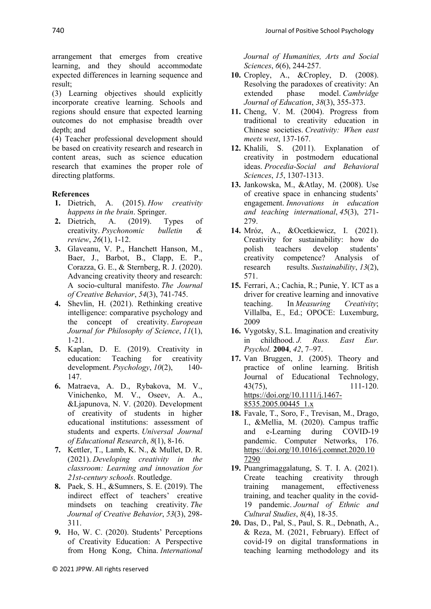arrangement that emerges from creative learning, and they should accommodate expected differences in learning sequence and result;

(3) Learning objectives should explicitly incorporate creative learning. Schools and regions should ensure that expected learning outcomes do not emphasise breadth over depth; and

(4) Teacher professional development should be based on creativity research and research in content areas, such as science education research that examines the proper role of directing platforms.

# **References**

- **1.** Dietrich, A. (2015). *How creativity happens in the brain*. Springer.
- **2.** Dietrich, A. (2019). Types of creativity. *Psychonomic bulletin & review*, *26*(1), 1-12.
- **3.** Glaveanu, V. P., Hanchett Hanson, M., Baer, J., Barbot, B., Clapp, E. P., Corazza, G. E., & Sternberg, R. J. (2020). Advancing creativity theory and research: A socio‐cultural manifesto. *The Journal of Creative Behavior*, *54*(3), 741-745.
- **4.** Shevlin, H. (2021). Rethinking creative intelligence: comparative psychology and the concept of creativity. *European Journal for Philosophy of Science*, *11*(1), 1-21.
- **5.** Kaplan, D. E. (2019). Creativity in education: Teaching for creativity development. *Psychology*, *10*(2), 140- 147.
- **6.** Matraeva, A. D., Rybakova, M. V., Vinichenko, M. V., Oseev, A. A., &Ljapunova, N. V. (2020). Development of creativity of students in higher educational institutions: assessment of students and experts. *Universal Journal of Educational Research*, *8*(1), 8-16.
- **7.** Kettler, T., Lamb, K. N., & Mullet, D. R. (2021). *Developing creativity in the classroom: Learning and innovation for 21st-century schools*. Routledge.
- **8.** Paek, S. H., &Sumners, S. E. (2019). The indirect effect of teachers' creative mindsets on teaching creativity. *The Journal of Creative Behavior*, *53*(3), 298- 311.
- **9.** Ho, W. C. (2020). Students' Perceptions of Creativity Education: A Perspective from Hong Kong, China. *International*

© 2021 JPPW. All rights reserved

*Journal of Humanities, Arts and Social Sciences*, *6*(6), 244-257.

- **10.** Cropley, A., &Cropley, D. (2008). Resolving the paradoxes of creativity: An extended phase model. *Cambridge Journal of Education*, *38*(3), 355-373.
- **11.** Cheng, V. M. (2004). Progress from traditional to creativity education in Chinese societies. *Creativity: When east meets west*, 137-167.
- **12.** Khalili, S. (2011). Explanation of creativity in postmodern educational ideas. *Procedia-Social and Behavioral Sciences*, *15*, 1307-1313.
- **13.** Jankowska, M., &Atlay, M. (2008). Use of creative space in enhancing students' engagement. *Innovations in education and teaching international*, *45*(3), 271- 279.
- **14.** Mróz, A., &Ocetkiewicz, I. (2021). Creativity for sustainability: how do<br>polish teachers develop students' polish teachers develop creativity competence? Analysis of research results. *Sustainability*, *13*(2), 571.
- **15.** Ferrari, A.; Cachia, R.; Punie, Y. ICT as a driver for creative learning and innovative teaching. In *Measuring Creativity*; Villalba, E., Ed.; OPOCE: Luxemburg, 2009
- **16.** Vygotsky, S.L. Imagination and creativity in childhood. *J. Russ. East Eur. Psychol.* **2004**, *42*, 7–97.
- **17.** Van Bruggen, J. (2005). Theory and practice of online learning. British Journal of Educational Technology, 43(75), 111-120. [https://doi.org/10.1111/j.1467-](https://doi.org/10.1111/j.1467-8535.2005.00445_1.x) [8535.2005.00445\\_1.x](https://doi.org/10.1111/j.1467-8535.2005.00445_1.x)
- **18.** Favale, T., Soro, F., Trevisan, M., Drago, I., &Mellia, M. (2020). Campus traffic and e-Learning during COVID-19 pandemic. Computer Networks, 176. [https://doi.org/10.1016/j.comnet.2020.10](https://doi.org/10.1016/j.comnet.2020.107290) [7290](https://doi.org/10.1016/j.comnet.2020.107290)
- **19.** Puangrimaggalatung, S. T. I. A. (2021). Create teaching creativity through training management, effectiveness training, and teacher quality in the covid-19 pandemic. *Journal of Ethnic and Cultural Studies*, *8*(4), 18-35.
- **20.** Das, D., Pal, S., Paul, S. R., Debnath, A., & Reza, M. (2021, February). Effect of covid-19 on digital transformations in teaching learning methodology and its